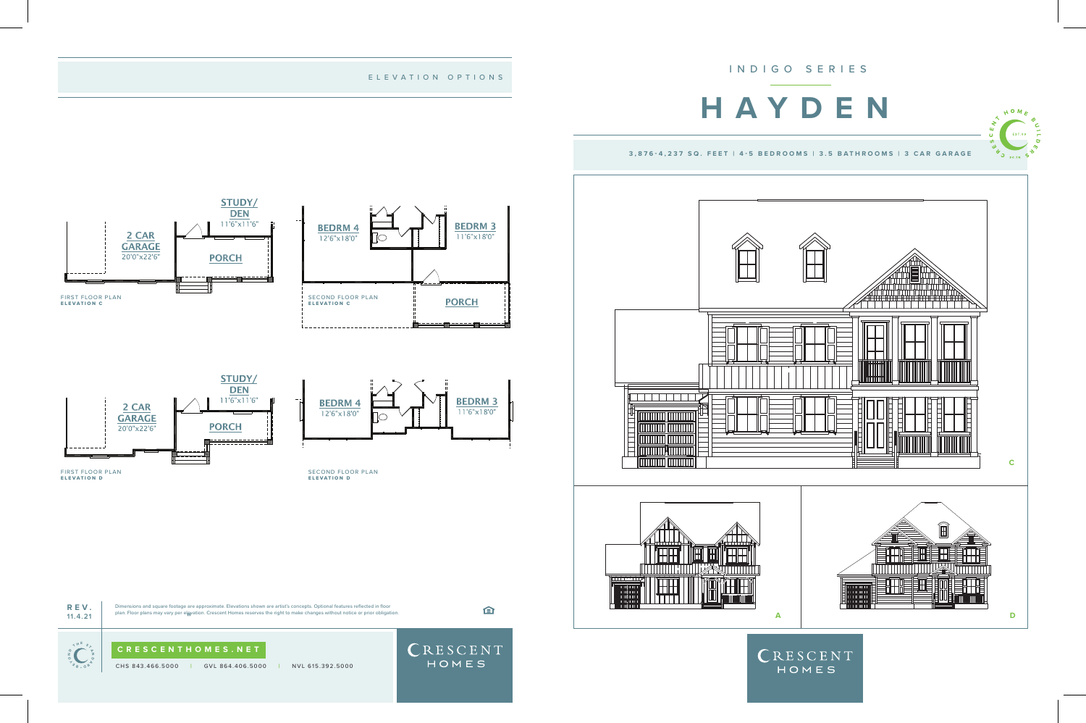

CHS 843.466.5000 **|** GVL 864.406.5000 **|** NVL 615.392.5000

HOMES



Dimensions and square footage are approximate. Elevations shown are artist's concepts. Optional features reflected in floor plan. Floor plans may vary per elevation. Crescent Homes reserves the right to make changes without notice or prior obligation. **11.4.21**

STUDY/ **DEN**  $11'6''$ x $11'6''$ 

**PORCH** 

2 CAR

**GARAGE** 20'0"x22'6"

## ELEVATION OPTIONS

**BEDRM 3** 

11'6"x18'0"

CRESCENT

HOMES



**BEDRM 4** 

 $12'6''x18'0''$